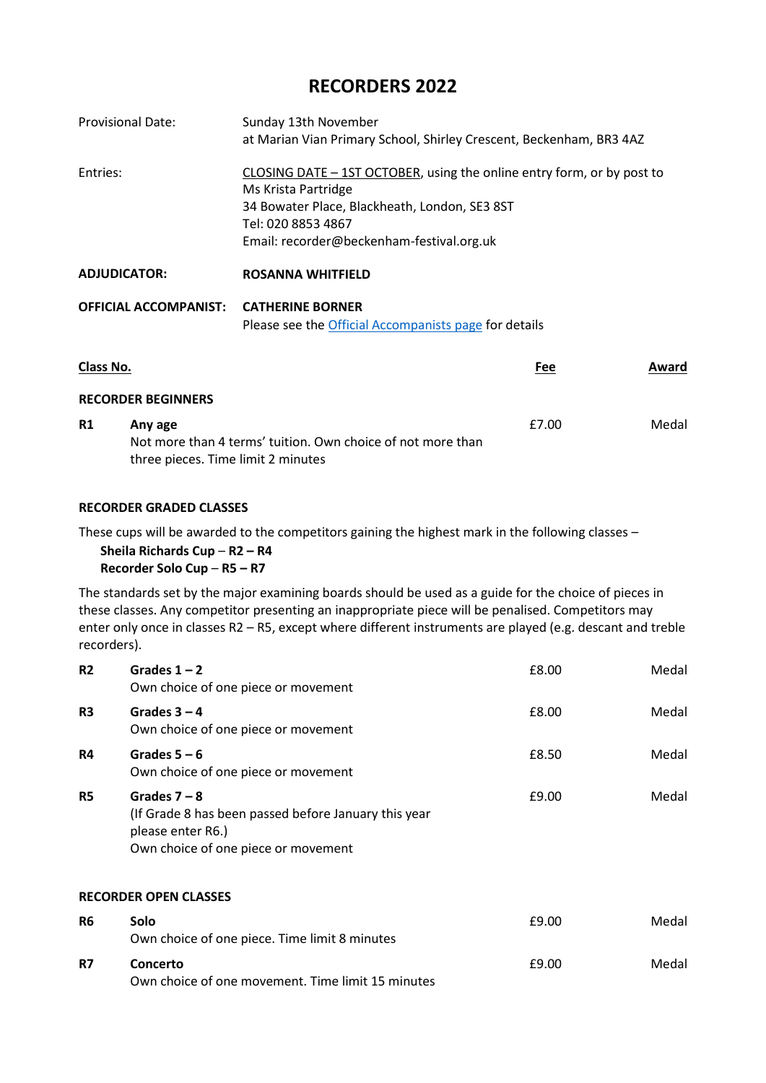# **RECORDERS 2022**

| <b>Provisional Date:</b>     | Sunday 13th November                                                                                                                                                                                              |       |
|------------------------------|-------------------------------------------------------------------------------------------------------------------------------------------------------------------------------------------------------------------|-------|
|                              | at Marian Vian Primary School, Shirley Crescent, Beckenham, BR3 4AZ                                                                                                                                               |       |
| Entries:                     | CLOSING DATE - 1ST OCTOBER, using the online entry form, or by post to<br>Ms Krista Partridge<br>34 Bowater Place, Blackheath, London, SE3 8ST<br>Tel: 020 8853 4867<br>Email: recorder@beckenham-festival.org.uk |       |
| <b>ADJUDICATOR:</b>          | <b>ROSANNA WHITFIELD</b>                                                                                                                                                                                          |       |
| <b>OFFICIAL ACCOMPANIST:</b> | <b>CATHERINE BORNER</b><br>Please see the Official Accompanists page for details                                                                                                                                  |       |
| Clace No                     | ەم5                                                                                                                                                                                                               | Award |

| Class No. |                                                             | Fee   | Award |
|-----------|-------------------------------------------------------------|-------|-------|
|           | <b>RECORDER BEGINNERS</b>                                   |       |       |
| R1        | Any age                                                     | £7.00 | Medal |
|           | Not more than 4 terms' tuition. Own choice of not more than |       |       |
|           | three pieces. Time limit 2 minutes                          |       |       |

### **RECORDER GRADED CLASSES**

These cups will be awarded to the competitors gaining the highest mark in the following classes –

### **Sheila Richards Cup** – **R2 – R4 Recorder Solo Cup** – **R5 – R7**

The standards set by the major examining boards should be used as a guide for the choice of pieces in these classes. Any competitor presenting an inappropriate piece will be penalised. Competitors may enter only once in classes R2 – R5, except where different instruments are played (e.g. descant and treble recorders).

| R <sub>2</sub>               | Grades $1 - 2$<br>Own choice of one piece or movement                                                                              | £8.00 | Medal |  |  |
|------------------------------|------------------------------------------------------------------------------------------------------------------------------------|-------|-------|--|--|
| R <sub>3</sub>               | Grades $3 - 4$<br>Own choice of one piece or movement                                                                              | £8.00 | Medal |  |  |
| <b>R4</b>                    | Grades $5 - 6$<br>Own choice of one piece or movement                                                                              | £8.50 | Medal |  |  |
| R5                           | Grades $7 - 8$<br>(If Grade 8 has been passed before January this year<br>please enter R6.)<br>Own choice of one piece or movement | £9.00 | Medal |  |  |
| <b>RECORDER OPEN CLASSES</b> |                                                                                                                                    |       |       |  |  |
| R6                           | Solo                                                                                                                               | £9.00 | Medal |  |  |

|           | Own choice of one piece. Time limit 8 minutes     |       |       |
|-----------|---------------------------------------------------|-------|-------|
| <b>R7</b> | Concerto                                          | £9.00 | Medal |
|           | Own choice of one movement. Time limit 15 minutes |       |       |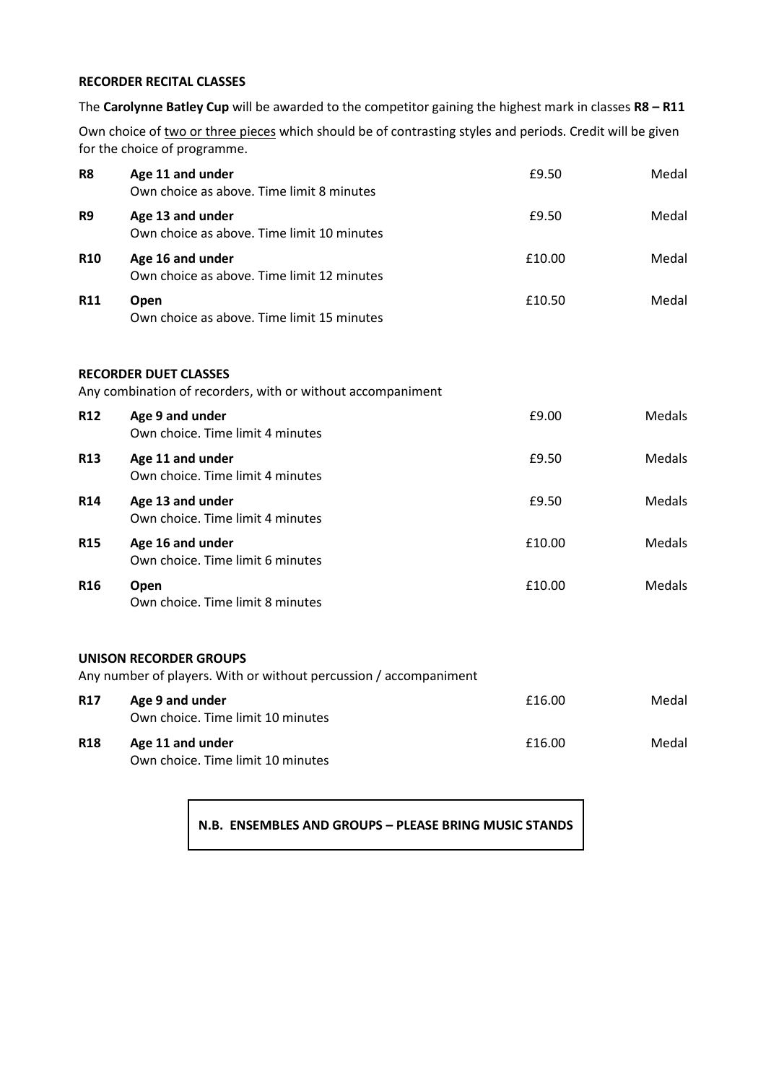## **RECORDER RECITAL CLASSES**

The **Carolynne Batley Cup** will be awarded to the competitor gaining the highest mark in classes **R8 – R11**

Own choice of two or three pieces which should be of contrasting styles and periods. Credit will be given for the choice of programme.

| R <sub>8</sub>  | Age 11 and under<br>Own choice as above. Time limit 8 minutes                                      | £9.50  | Medal         |
|-----------------|----------------------------------------------------------------------------------------------------|--------|---------------|
| R <sub>9</sub>  | Age 13 and under<br>Own choice as above. Time limit 10 minutes                                     | £9.50  | Medal         |
| <b>R10</b>      | Age 16 and under<br>Own choice as above. Time limit 12 minutes                                     | £10.00 | Medal         |
| <b>R11</b>      | Open<br>Own choice as above. Time limit 15 minutes                                                 | £10.50 | Medal         |
|                 | <b>RECORDER DUET CLASSES</b><br>Any combination of recorders, with or without accompaniment        |        |               |
| <b>R12</b>      | Age 9 and under<br>Own choice. Time limit 4 minutes                                                | £9.00  | Medals        |
| <b>R13</b>      | Age 11 and under<br>Own choice. Time limit 4 minutes                                               | £9.50  | <b>Medals</b> |
| <b>R14</b>      | Age 13 and under<br>Own choice. Time limit 4 minutes                                               | £9.50  | <b>Medals</b> |
| <b>R15</b>      | Age 16 and under<br>Own choice. Time limit 6 minutes                                               | £10.00 | Medals        |
| R <sub>16</sub> | Open<br>Own choice. Time limit 8 minutes                                                           | £10.00 | <b>Medals</b> |
|                 | <b>UNISON RECORDER GROUPS</b><br>Any number of players. With or without percussion / accompaniment |        |               |
| <b>R17</b>      | Age 9 and under<br>Own choice. Time limit 10 minutes                                               | £16.00 | Medal         |
| <b>R18</b>      | Age 11 and under<br>Own choice. Time limit 10 minutes                                              | £16.00 | Medal         |

**N.B. ENSEMBLES AND GROUPS – PLEASE BRING MUSIC STANDS**